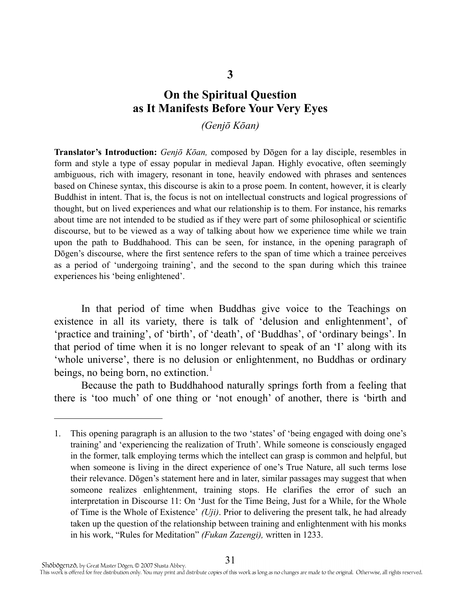## **On the Spiritual Question as It Manifests Before Your Very Eyes**

*(Genjō Kōan)* 

**Translator's Introduction:** *Genjō Kōan,* composed by Dōgen for a lay disciple, resembles in form and style a type of essay popular in medieval Japan. Highly evocative, often seemingly ambiguous, rich with imagery, resonant in tone, heavily endowed with phrases and sentences based on Chinese syntax, this discourse is akin to a prose poem. In content, however, it is clearly Buddhist in intent. That is, the focus is not on intellectual constructs and logical progressions of thought, but on lived experiences and what our relationship is to them. For instance, his remarks about time are not intended to be studied as if they were part of some philosophical or scientific discourse, but to be viewed as a way of talking about how we experience time while we train upon the path to Buddhahood. This can be seen, for instance, in the opening paragraph of Dōgen's discourse, where the first sentence refers to the span of time which a trainee perceives as a period of 'undergoing training', and the second to the span during which this trainee experiences his 'being enlightened'.

In that period of time when Buddhas give voice to the Teachings on existence in all its variety, there is talk of 'delusion and enlightenment', of 'practice and training', of 'birth', of 'death', of 'Buddhas', of 'ordinary beings'. In that period of time when it is no longer relevant to speak of an 'I' along with its 'whole universe', there is no delusion or enlightenment, no Buddhas or ordinary beings, no being born, no extinction.<sup>[1](#page-0-0)</sup>

Because the path to Buddhahood naturally springs forth from a feeling that there is 'too much' of one thing or 'not enough' of another, there is 'birth and

 $\overline{a}$ 

<span id="page-0-0"></span><sup>1.</sup> This opening paragraph is an allusion to the two 'states' of 'being engaged with doing one's training' and 'experiencing the realization of Truth'. While someone is consciously engaged in the former, talk employing terms which the intellect can grasp is common and helpful, but when someone is living in the direct experience of one's True Nature, all such terms lose their relevance. Dōgen's statement here and in later, similar passages may suggest that when someone realizes enlightenment, training stops. He clarifies the error of such an interpretation in Discourse 11: On 'Just for the Time Being, Just for a While, for the Whole of Time is the Whole of Existence' *(Uji)*. Prior to delivering the present talk, he had already taken up the question of the relationship between training and enlightenment with his monks in his work, "Rules for Meditation" *(Fukan Zazengi),* written in 1233.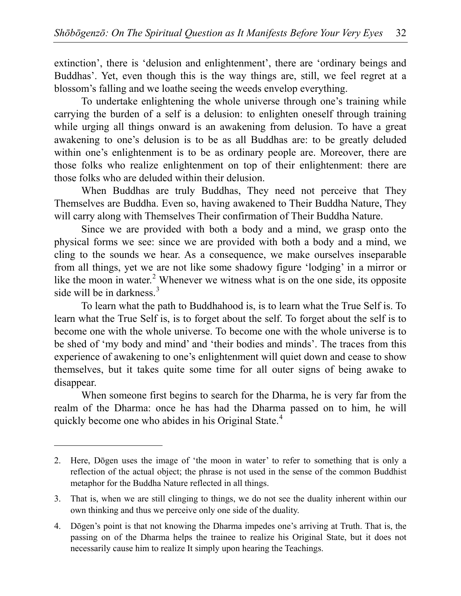extinction', there is 'delusion and enlightenment', there are 'ordinary beings and Buddhas'. Yet, even though this is the way things are, still, we feel regret at a blossom's falling and we loathe seeing the weeds envelop everything.

To undertake enlightening the whole universe through one's training while carrying the burden of a self is a delusion: to enlighten oneself through training while urging all things onward is an awakening from delusion. To have a great awakening to one's delusion is to be as all Buddhas are: to be greatly deluded within one's enlightenment is to be as ordinary people are. Moreover, there are those folks who realize enlightenment on top of their enlightenment: there are those folks who are deluded within their delusion.

When Buddhas are truly Buddhas, They need not perceive that They Themselves are Buddha. Even so, having awakened to Their Buddha Nature, They will carry along with Themselves Their confirmation of Their Buddha Nature.

Since we are provided with both a body and a mind, we grasp onto the physical forms we see: since we are provided with both a body and a mind, we cling to the sounds we hear. As a consequence, we make ourselves inseparable from all things, yet we are not like some shadowy figure 'lodging' in a mirror or like the moon in water.<sup>[2](#page-1-0)</sup> Whenever we witness what is on the one side, its opposite side will be in darkness. $3$ 

To learn what the path to Buddhahood is, is to learn what the True Self is. To learn what the True Self is, is to forget about the self. To forget about the self is to become one with the whole universe. To become one with the whole universe is to be shed of 'my body and mind' and 'their bodies and minds'. The traces from this experience of awakening to one's enlightenment will quiet down and cease to show themselves, but it takes quite some time for all outer signs of being awake to disappear.

When someone first begins to search for the Dharma, he is very far from the realm of the Dharma: once he has had the Dharma passed on to him, he will quickly become one who abides in his Original State.<sup>[4](#page-1-2)</sup>

 $\overline{a}$ 

<span id="page-1-0"></span><sup>2.</sup> Here, Dōgen uses the image of 'the moon in water' to refer to something that is only a reflection of the actual object; the phrase is not used in the sense of the common Buddhist metaphor for the Buddha Nature reflected in all things.

<span id="page-1-1"></span><sup>3.</sup> That is, when we are still clinging to things, we do not see the duality inherent within our own thinking and thus we perceive only one side of the duality.

<span id="page-1-2"></span><sup>4.</sup> Dōgen's point is that not knowing the Dharma impedes one's arriving at Truth. That is, the passing on of the Dharma helps the trainee to realize his Original State, but it does not necessarily cause him to realize It simply upon hearing the Teachings.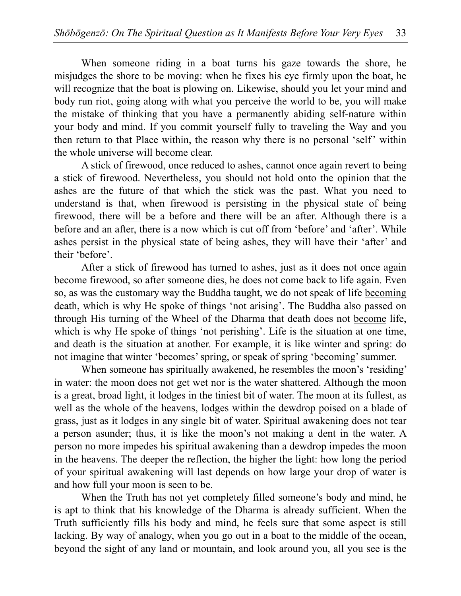When someone riding in a boat turns his gaze towards the shore, he misjudges the shore to be moving: when he fixes his eye firmly upon the boat, he will recognize that the boat is plowing on. Likewise, should you let your mind and body run riot, going along with what you perceive the world to be, you will make the mistake of thinking that you have a permanently abiding self-nature within your body and mind. If you commit yourself fully to traveling the Way and you then return to that Place within, the reason why there is no personal 'self' within the whole universe will become clear.

A stick of firewood, once reduced to ashes, cannot once again revert to being a stick of firewood. Nevertheless, you should not hold onto the opinion that the ashes are the future of that which the stick was the past. What you need to understand is that, when firewood is persisting in the physical state of being firewood, there will be a before and there will be an after. Although there is a before and an after, there is a now which is cut off from 'before' and 'after'. While ashes persist in the physical state of being ashes, they will have their 'after' and their 'before'.

After a stick of firewood has turned to ashes, just as it does not once again become firewood, so after someone dies, he does not come back to life again. Even so, as was the customary way the Buddha taught, we do not speak of life becoming death, which is why He spoke of things 'not arising'. The Buddha also passed on through His turning of the Wheel of the Dharma that death does not become life, which is why He spoke of things 'not perishing'. Life is the situation at one time, and death is the situation at another. For example, it is like winter and spring: do not imagine that winter 'becomes' spring, or speak of spring 'becoming' summer.

When someone has spiritually awakened, he resembles the moon's 'residing' in water: the moon does not get wet nor is the water shattered. Although the moon is a great, broad light, it lodges in the tiniest bit of water. The moon at its fullest, as well as the whole of the heavens, lodges within the dewdrop poised on a blade of grass, just as it lodges in any single bit of water. Spiritual awakening does not tear a person asunder; thus, it is like the moon's not making a dent in the water. A person no more impedes his spiritual awakening than a dewdrop impedes the moon in the heavens. The deeper the reflection, the higher the light: how long the period of your spiritual awakening will last depends on how large your drop of water is and how full your moon is seen to be.

When the Truth has not yet completely filled someone's body and mind, he is apt to think that his knowledge of the Dharma is already sufficient. When the Truth sufficiently fills his body and mind, he feels sure that some aspect is still lacking. By way of analogy, when you go out in a boat to the middle of the ocean, beyond the sight of any land or mountain, and look around you, all you see is the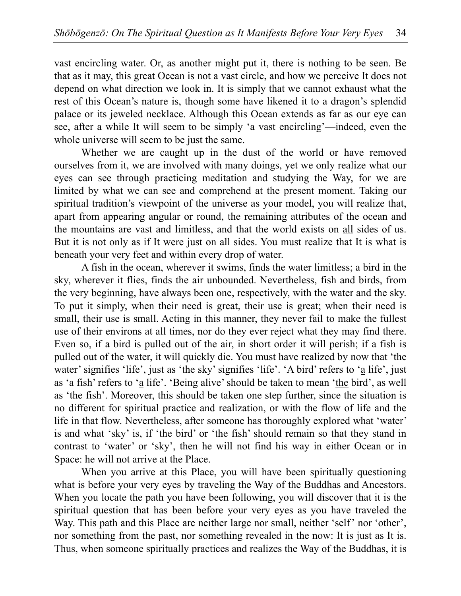vast encircling water. Or, as another might put it, there is nothing to be seen. Be that as it may, this great Ocean is not a vast circle, and how we perceive It does not depend on what direction we look in. It is simply that we cannot exhaust what the rest of this Ocean's nature is, though some have likened it to a dragon's splendid palace or its jeweled necklace. Although this Ocean extends as far as our eye can see, after a while It will seem to be simply 'a vast encircling'—indeed, even the whole universe will seem to be just the same.

Whether we are caught up in the dust of the world or have removed ourselves from it, we are involved with many doings, yet we only realize what our eyes can see through practicing meditation and studying the Way, for we are limited by what we can see and comprehend at the present moment. Taking our spiritual tradition's viewpoint of the universe as your model, you will realize that, apart from appearing angular or round, the remaining attributes of the ocean and the mountains are vast and limitless, and that the world exists on all sides of us. But it is not only as if It were just on all sides. You must realize that It is what is beneath your very feet and within every drop of water.

A fish in the ocean, wherever it swims, finds the water limitless; a bird in the sky, wherever it flies, finds the air unbounded. Nevertheless, fish and birds, from the very beginning, have always been one, respectively, with the water and the sky. To put it simply, when their need is great, their use is great; when their need is small, their use is small. Acting in this manner, they never fail to make the fullest use of their environs at all times, nor do they ever reject what they may find there. Even so, if a bird is pulled out of the air, in short order it will perish; if a fish is pulled out of the water, it will quickly die. You must have realized by now that 'the water' signifies 'life', just as 'the sky' signifies 'life'. 'A bird' refers to 'a life', just as 'a fish' refers to 'a life'. 'Being alive' should be taken to mean 'the bird', as well as 'the fish'. Moreover, this should be taken one step further, since the situation is no different for spiritual practice and realization, or with the flow of life and the life in that flow. Nevertheless, after someone has thoroughly explored what 'water' is and what 'sky' is, if 'the bird' or 'the fish' should remain so that they stand in contrast to 'water' or 'sky', then he will not find his way in either Ocean or in Space: he will not arrive at the Place.

When you arrive at this Place, you will have been spiritually questioning what is before your very eyes by traveling the Way of the Buddhas and Ancestors. When you locate the path you have been following, you will discover that it is the spiritual question that has been before your very eyes as you have traveled the Way. This path and this Place are neither large nor small, neither 'self' nor 'other', nor something from the past, nor something revealed in the now: It is just as It is. Thus, when someone spiritually practices and realizes the Way of the Buddhas, it is